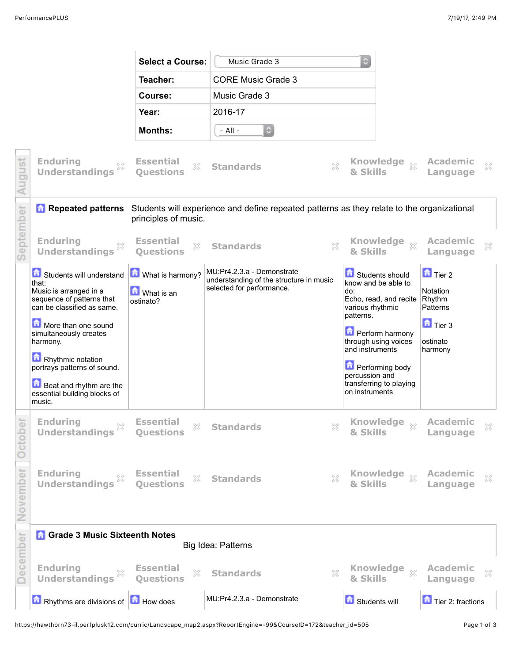|           |                                                                                                                        | <b>Select a Course:</b>                              | Music Grade 3                                                                                                         |                                                                                                          |                                                        |  |
|-----------|------------------------------------------------------------------------------------------------------------------------|------------------------------------------------------|-----------------------------------------------------------------------------------------------------------------------|----------------------------------------------------------------------------------------------------------|--------------------------------------------------------|--|
|           |                                                                                                                        | Teacher:                                             | <b>CORE Music Grade 3</b>                                                                                             |                                                                                                          |                                                        |  |
|           |                                                                                                                        | Course:                                              | Music Grade 3                                                                                                         |                                                                                                          |                                                        |  |
|           |                                                                                                                        | Year:                                                | 2016-17                                                                                                               |                                                                                                          |                                                        |  |
|           |                                                                                                                        | <b>Months:</b>                                       | $\hat{v}$<br>$-$ All $-$                                                                                              |                                                                                                          |                                                        |  |
| August    | <b>Enduring</b><br><b>Understandings</b>                                                                               | <b>Essential</b><br>X<br><b>Ouestions</b>            | $\gtrsim$<br><b>Standards</b>                                                                                         | Knowledge xx<br>& Skills                                                                                 | <b>Academic</b><br>X<br>Language                       |  |
|           |                                                                                                                        | principles of music.                                 | <b>A Repeated patterns</b> Students will experience and define repeated patterns as they relate to the organizational |                                                                                                          |                                                        |  |
| September | <b>Enduring</b><br>X<br><b>Understandings</b>                                                                          | <b>Essential</b><br>×<br><b>Ouestions</b>            | ×<br><b>Standards</b>                                                                                                 | <b>Knowledge</b><br>$\chi$<br>& Skills                                                                   | <b>Academic</b><br>×<br>Language                       |  |
|           | Students will understand<br>that:<br>Music is arranged in a<br>sequence of patterns that<br>can be classified as same. | What is harmony?<br><b>M</b> What is an<br>ostinato? | MU:Pr4.2.3.a - Demonstrate<br>understanding of the structure in music<br>selected for performance.                    | Students should<br>know and be able to<br>do:<br>Echo, read, and recite<br>various rhythmic<br>patterns. | $\Box$ Tier 2<br>Notation<br>Rhythm<br>Patterns        |  |
|           | More than one sound<br>simultaneously creates<br>harmony.                                                              |                                                      |                                                                                                                       | <b>D</b> Perform harmony<br>through using voices<br>and instruments                                      | $\overline{\phantom{a}}$ Tier 3<br>ostinato<br>harmony |  |
|           | Rhythmic notation<br>portrays patterns of sound.                                                                       |                                                      |                                                                                                                       | <b>D</b> Performing body<br>percussion and                                                               |                                                        |  |
|           | <b>Beat and rhythm are the</b><br>essential building blocks of<br>music.                                               |                                                      |                                                                                                                       | transferring to playing<br>on instruments                                                                |                                                        |  |
| October   | <b>Enduring</b><br>×<br><b>Understandings</b>                                                                          | <b>Essential</b><br>$\gtrsim$<br>Questions           | ×<br><b>Standards</b>                                                                                                 | Knowledge xx<br>& Skills                                                                                 | <b>Academic</b><br>$\mathbb{X}$<br>Language            |  |
| November  | <b>Enduring</b><br><b>Understandings</b>                                                                               | <b>Essential</b><br>$\gtrsim$<br><b>Questions</b>    | $\chi$<br><b>Standards</b>                                                                                            | Knowledge xx<br>& Skills                                                                                 | <b>Academic</b><br>$\chi$<br>Language                  |  |
|           | <b>Grade 3 Music Sixteenth Notes</b>                                                                                   |                                                      |                                                                                                                       |                                                                                                          |                                                        |  |
| December  | <b>Enduring</b><br>X<br><b>Understandings</b>                                                                          | <b>Essential</b><br>$\mathbb{X}$<br>Questions        | Big Idea: Patterns<br>X<br><b>Standards</b>                                                                           | Knowledge xx<br>& Skills                                                                                 | <b>Academic</b><br>×<br>Language                       |  |
|           | <b>n</b> Rhythms are divisions of <b>n</b> How does                                                                    |                                                      | MU:Pr4.2.3.a - Demonstrate                                                                                            | Students will                                                                                            | Tier 2: fractions                                      |  |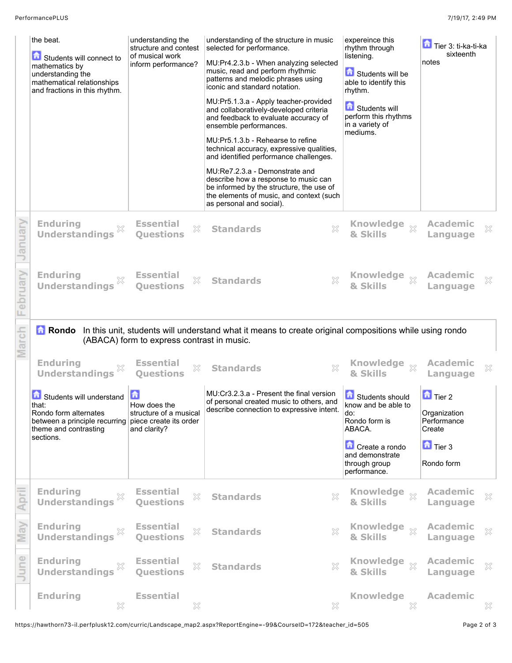|          | the beat.<br>Students will connect to<br>mathematics by<br>understanding the<br>mathematical relationships<br>and fractions in this rhythm. | understanding the<br>structure and contest<br>of musical work<br>inform performance? | understanding of the structure in music<br>selected for performance.<br>MU:Pr4.2.3.b - When analyzing selected<br>music, read and perform rhythmic<br>patterns and melodic phrases using<br>iconic and standard notation.<br>MU:Pr5.1.3.a - Apply teacher-provided<br>and collaboratively-developed criteria<br>and feedback to evaluate accuracy of<br>ensemble performances.<br>MU:Pr5.1.3.b - Rehearse to refine<br>technical accuracy, expressive qualities,<br>and identified performance challenges.<br>MU:Re7.2.3.a - Demonstrate and | expereince this<br>rhythm through<br>listening.<br>Students will be<br>able to identify this<br>rhythm.<br><b>A</b> Students will<br>perform this rhythms<br>in a variety of<br>mediums. | Tier 3: ti-ka-ti-ka<br>sixteenth<br>notes              |
|----------|---------------------------------------------------------------------------------------------------------------------------------------------|--------------------------------------------------------------------------------------|----------------------------------------------------------------------------------------------------------------------------------------------------------------------------------------------------------------------------------------------------------------------------------------------------------------------------------------------------------------------------------------------------------------------------------------------------------------------------------------------------------------------------------------------|------------------------------------------------------------------------------------------------------------------------------------------------------------------------------------------|--------------------------------------------------------|
|          |                                                                                                                                             |                                                                                      | describe how a response to music can<br>be informed by the structure, the use of<br>the elements of music, and context (such<br>as personal and social).                                                                                                                                                                                                                                                                                                                                                                                     |                                                                                                                                                                                          |                                                        |
| January  | <b>Enduring</b><br>X<br><b>Understandings</b>                                                                                               | <b>Essential</b><br>X<br><b>Ouestions</b>                                            | X<br><b>Standards</b>                                                                                                                                                                                                                                                                                                                                                                                                                                                                                                                        | Knowledge xx<br>& Skills                                                                                                                                                                 | <b>Academic</b><br>$\mathbb{X}$<br>Language            |
| February | <b>Enduring</b><br>X<br><b>Understandings</b>                                                                                               | <b>Essential</b><br>X<br><b>Ouestions</b>                                            | X<br><b>Standards</b>                                                                                                                                                                                                                                                                                                                                                                                                                                                                                                                        | Knowledge xx<br>& Skills                                                                                                                                                                 | <b>Academic</b><br>×<br>Language                       |
|          |                                                                                                                                             |                                                                                      | <b>a</b> Rondo In this unit, students will understand what it means to create original compositions while using rondo                                                                                                                                                                                                                                                                                                                                                                                                                        |                                                                                                                                                                                          |                                                        |
|          |                                                                                                                                             | (ABACA) form to express contrast in music.                                           |                                                                                                                                                                                                                                                                                                                                                                                                                                                                                                                                              |                                                                                                                                                                                          |                                                        |
| March    | <b>Enduring</b><br>X<br><b>Understandings</b>                                                                                               | <b>Essential</b><br>X<br><b>Ouestions</b>                                            | ×<br><b>Standards</b>                                                                                                                                                                                                                                                                                                                                                                                                                                                                                                                        | <b>Knowledge</b><br>$\chi$<br>& Skills                                                                                                                                                   | <b>Academic</b><br>$\mathbb{X}$<br>Language            |
|          | Students will understand<br>that:<br>Rondo form alternates<br>between a principle recurring piece create its order<br>theme and contrasting | 亩<br>How does the<br>structure of a musical<br>and clarity?                          | MU:Cr3.2.3.a - Present the final version<br>of personal created music to others, and<br>describe connection to expressive intent.                                                                                                                                                                                                                                                                                                                                                                                                            | Students should<br>know and be able to<br>do:<br>Rondo form is<br>ABACA.                                                                                                                 | $\Box$ Tier 2<br>Organization<br>Performance<br>Create |
|          | sections.                                                                                                                                   |                                                                                      |                                                                                                                                                                                                                                                                                                                                                                                                                                                                                                                                              | Create a rondo<br>and demonstrate<br>through group<br>performance.                                                                                                                       | $\Box$ Tier 3<br>Rondo form                            |
|          | <b>Enduring</b><br>X<br><b>Understandings</b>                                                                                               | <b>Essential</b><br>X<br><b>Questions</b>                                            | $\gtrapprox$<br><b>Standards</b>                                                                                                                                                                                                                                                                                                                                                                                                                                                                                                             | Knowledge xx<br>& Skills                                                                                                                                                                 | <b>Academic</b><br>×<br>Language                       |
| May      | <b>Enduring</b><br>X<br><b>Understandings</b>                                                                                               | <b>Essential</b><br>X<br><b>Questions</b>                                            | X<br><b>Standards</b>                                                                                                                                                                                                                                                                                                                                                                                                                                                                                                                        | Knowledge xx<br>& Skills                                                                                                                                                                 | <b>Academic</b><br>×<br>Language                       |
| June     | <b>Enduring</b><br>X<br><b>Understandings</b>                                                                                               | <b>Essential</b><br>X<br><b>Questions</b>                                            | X<br><b>Standards</b>                                                                                                                                                                                                                                                                                                                                                                                                                                                                                                                        | Knowledge xx<br>& Skills                                                                                                                                                                 | <b>Academic</b><br>×<br>Language                       |